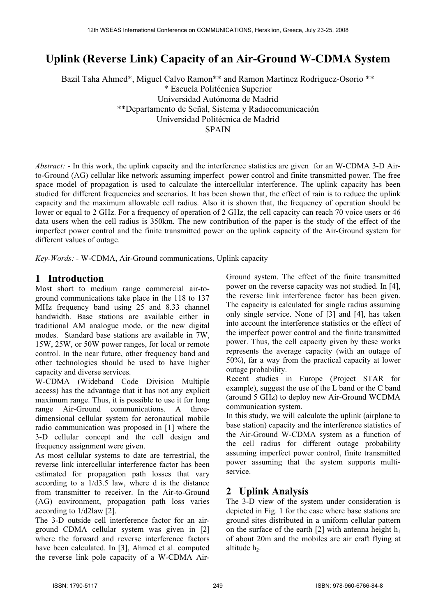# **Uplink (Reverse Link) Capacity of an Air-Ground W-CDMA System**

Bazil Taha Ahmed\*, Miguel Calvo Ramon\*\* and Ramon Martinez Rodriguez-Osorio \*\* \* Escuela Politécnica Superior Universidad Autónoma de Madrid \*\*Departamento de Señal, Sistema y Radiocomunicación Universidad Politécnica de Madrid [SPAIN](mailto:bazil,%20miguel,%20ramon%7D@gr.ssr.upm.es) 

*Abstract: -* In this work, the uplink capacity and the interference statistics are given for an W-CDMA 3-D Airto-Ground (AG) cellular like network assuming imperfect power control and finite transmitted power. The free space model of propagation is used to calculate the intercellular interference. The uplink capacity has been studied for different frequencies and scenarios. It has been shown that, the effect of rain is to reduce the uplink capacity and the maximum allowable cell radius. Also it is shown that, the frequency of operation should be lower or equal to 2 GHz. For a frequency of operation of 2 GHz, the cell capacity can reach 70 voice users or 46 data users when the cell radius is 350km. The new contribution of the paper is the study of the effect of the imperfect power control and the finite transmitted power on the uplink capacity of the Air-Ground system for different values of outage.

*Key-Words: -* W-CDMA, Air-Ground communications, Uplink capacity

#### **1 Introduction**

Most short to medium range commercial air-toground communications take place in the 118 to 137 MHz frequency band using 25 and 8.33 channel bandwidth. Base stations are available either in traditional AM analogue mode, or the new digital modes. Standard base stations are available in 7W, 15W, 25W, or 50W power ranges, for local or remote control. In the near future, other frequency band and other technologies should be used to have higher capacity and diverse services.

W-CDMA (Wideband Code Division Multiple access) has the advantage that it has not any explicit maximum range. Thus, it is possible to use it for long range Air-Ground communications. A threedimensional cellular system for aeronautical mobile radio communication was proposed in [1] where the 3-D cellular concept and the cell design and frequency assignment were given.

As most cellular systems to date are terrestrial, the reverse link intercellular interference factor has been estimated for propagation path losses that vary according to a 1/d3.5 law, where d is the distance from transmitter to receiver. In the Air-to-Ground (AG) environment, propagation path loss varies according to 1/d2law [2].

The 3-D outside cell interference factor for an airground CDMA cellular system was given in [2] where the forward and reverse interference factors have been calculated. In [3], Ahmed et al. computed the reverse link pole capacity of a W-CDMA AirGround system. The effect of the finite transmitted power on the reverse capacity was not studied. In [4], the reverse link interference factor has been given. The capacity is calculated for single radius assuming only single service. None of [3] and [4], has taken into account the interference statistics or the effect of the imperfect power control and the finite transmitted power. Thus, the cell capacity given by these works represents the average capacity (with an outage of 50%), far a way from the practical capacity at lower outage probability.

Recent studies in Europe (Project STAR for example), suggest the use of the L band or the C band (around 5 GHz) to deploy new Air-Ground WCDMA communication system.

In this study, we will calculate the uplink (airplane to base station) capacity and the interference statistics of the Air-Ground W-CDMA system as a function of the cell radius for different outage probability assuming imperfect power control, finite transmitted power assuming that the system supports multiservice.

### **2 Uplink Analysis**

The 3-D view of the system under consideration is depicted in Fig. 1 for the case where base stations are ground sites distributed in a uniform cellular pattern on the surface of the earth [2] with antenna height  $h_1$ of about 20m and the mobiles are air craft flying at altitude h<sub>2</sub>.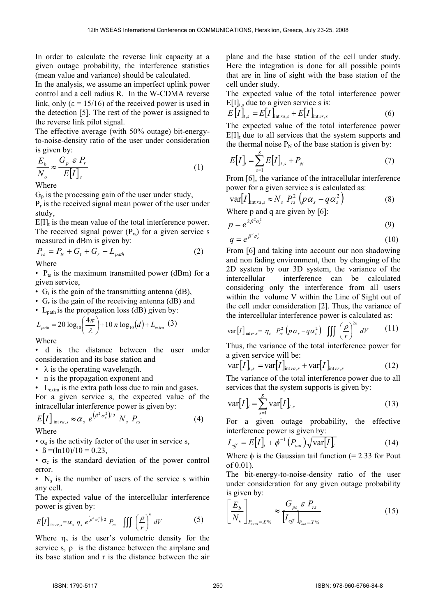In order to calculate the reverse link capacity at a given outage probability, the interference statistics (mean value and variance) should be calculated.

In the analysis, we assume an imperfect uplink power control and a cell radius R. In the W-CDMA reverse link, only  $(\epsilon = 15/16)$  of the received power is used in the detection [5]. The rest of the power is assigned to the reverse link pilot signal.

The effective average (with 50% outage) bit-energyto-noise-density ratio of the user under consideration is given by:

$$
\frac{E_b}{N_o} \approx \frac{G_p \varepsilon P_r}{E[I]_t}
$$
 (1)

Where

 $G_p$  is the processing gain of the user under study,

 $P_r$  is the received signal mean power of the user under study,

 $E[I]_t$  is the mean value of the total interference power. The received signal power  $(P_{rs})$  for a given service s measured in dBm is given by:

$$
P_{rs} = P_{ts} + G_t + G_r - L_{path}
$$
 (2)

Where

•  $P_{ts}$  is the maximum transmitted power (dBm) for a given service,

- $G_t$  is the gain of the transmitting antenna (dB),
- G<sub>r</sub> is the gain of the receiving antenna (dB) and
- $L_{path}$  is the propagation loss (dB) given by:

$$
L_{\text{path}} = 20 \log_{10} \left( \frac{4\pi}{\lambda} \right) + 10 n \log_{10} (d) + L_{\text{extra}} \quad (3)
$$

Where

• d is the distance between the user under consideration and its base station and

- $\lambda$  is the operating wavelength.
- n is the propagation exponent and
- L<sub>extra</sub> is the extra path loss due to rain and gases.

For a given service s, the expected value of the intracellular interference power is given by:

$$
E[I]_{\text{int }ra,s} \approx \alpha_s e^{(\beta^2 \sigma_c^2)/2} N_s P_{rs}
$$
 (4)

Where

- $\cdot \alpha_s$  is the activity factor of the user in service s,
- $\beta = (\ln 10)/10 = 0.23$ ,

 $\bullet$   $\sigma_c$  is the standard deviation of the power control error.

•  $N_s$  is the number of users of the service s within any cell.

The expected value of the intercellular interference power is given by:

$$
E[I]_{\text{inter},s} = \alpha_s \eta_s e^{(\beta^2 \sigma_c^2)/2} P_{rs} \iiint \left(\frac{\rho}{r}\right)^n dV \tag{5}
$$

Where  $\eta_s$  is the user's volumetric density for the service s,  $\rho$  is the distance between the airplane and its base station and r is the distance between the air

plane and the base station of the cell under study. Here the integration is done for all possible points that are in line of sight with the base station of the cell under study.

The expected value of the total interference power  $E[1]$ <sub>t,s</sub> due to a given service s is:

$$
E\left[I\right]_{t,s} = E\left[I\right]_{\text{int }ra,s} + E\left[I\right]_{\text{int }er,s} \tag{6}
$$

The expected value of the total interference power  $E[I]_t$  due to all services that the system supports and the thermal noise  $P_N$  of the base station is given by:

$$
E[I]_t = \sum_{s=1}^{S} E[I]_{t,s} + P_N
$$
 (7)

From [6], the variance of the intracellular interference power for a given service s is calculated as:

$$
\text{var}[I]_{\text{intra},s} \approx N_s \ P_{rs}^2 \left( p \alpha_s - q \alpha_s^2 \right) \tag{8}
$$

Where p and q are given by [6]:

$$
p = e^{2\beta^2 \sigma_c^2} \tag{9}
$$

$$
q = e^{\beta^2 \sigma_c^2} \tag{10}
$$

From [6] and taking into account our non shadowing and non fading environment, then by changing of the 2D system by our 3D system, the variance of the intercellular interference can be calculated considering only the interference from all users within the volume V within the Line of Sight out of the cell under consideration [2]. Thus, the variance of the intercellular interference power is calculated as:

$$
\text{var}[I]_{\text{inter},s} = \eta_s \ P_{rs}^2 \left( p \alpha_s - q \alpha_s^2 \right) \iiint \left( \frac{\rho}{r} \right)^{2n} dV \qquad (11)
$$

Thus, the variance of the total interference power for a given service will be:

$$
\text{var}[I]_{t,s} = \text{var}[I]_{\text{int }ra,s} + \text{var}[I]_{\text{int }er,s}
$$
 (12)

The variance of the total interference power due to all services that the system supports is given by:

$$
\text{var}[I]_t = \sum_{s=1}^{S} \text{var}[I]_{t,s} \tag{13}
$$

For a given outage probability, the effective interference power is given by:

$$
I_{\text{eff}} = E[I]_{t} + \phi^{-1} (P_{\text{out}}) \sqrt{\text{var}[I]_{t}}
$$
 (14)

Where  $\phi$  is the Gaussian tail function (= 2.33 for Pout of 0.01).

The bit-energy-to-noise-density ratio of the user under consideration for any given outage probability is given by:

$$
\left[\frac{E_b}{N_o}\right]_{P_{ou=1}=X\%} \approx \frac{G_{ps} \varepsilon P_{rs}}{\left[I_{\text{eff}}\right]_{P_{ou}=X\%}}
$$
\n(15)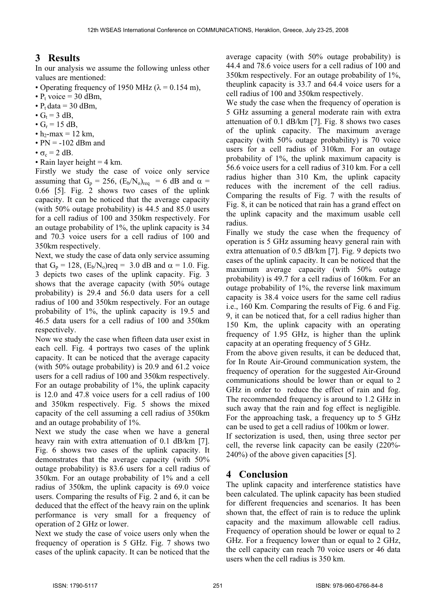# **3 Results**

In our analysis we assume the following unless other values are mentioned:

- Operating frequency of 1950 MHz ( $\lambda$  = 0.154 m),
- $P_t$  voice = 30 dBm,
- $P_t$  data = 30 dBm,
- $\bullet$  G<sub>t</sub> = 3 dB,
- $G_r = 15$  dB,
- $h_2$ -max = 12 km,
- $PN = -102$  dBm and
- $\sigma_c = 2$  dB.
- Rain layer height  $=$  4 km.

Firstly we study the case of voice only service assuming that G<sub>p</sub> = 256, (E<sub>b</sub>/N<sub>o</sub>)<sub>req</sub> = 6 dB and  $\alpha$  = 0.66 [5]. Fig. 2 shows two cases of the uplink capacity. It can be noticed that the average capacity (with 50% outage probability) is 44.5 and 85.0 users for a cell radius of 100 and 350km respectively. For an outage probability of 1%, the uplink capacity is 34 and 70.3 voice users for a cell radius of 100 and 350km respectively.

Next, we study the case of data only service assuming that  $G_p = 128$ ,  $(E_b/N_o)$ req = 3.0 dB and  $\alpha = 1.0$ . Fig. 3 depicts two cases of the uplink capacity. Fig. 3 shows that the average capacity (with 50% outage probability) is 29.4 and 56.0 data users for a cell radius of 100 and 350km respectively. For an outage probability of 1%, the uplink capacity is 19.5 and 46.5 data users for a cell radius of 100 and 350km respectively.

Now we study the case when fifteen data user exist in each cell. Fig. 4 portrays two cases of the uplink capacity. It can be noticed that the average capacity (with 50% outage probability) is 20.9 and 61.2 voice users for a cell radius of 100 and 350km respectively. For an outage probability of 1%, the uplink capacity is 12.0 and 47.8 voice users for a cell radius of 100 and 350km respectively. Fig. 5 shows the mixed capacity of the cell assuming a cell radius of 350km and an outage probability of 1%.

Next we study the case when we have a general heavy rain with extra attenuation of 0.1 dB/km [7]. Fig. 6 shows two cases of the uplink capacity. It demonstrates that the average capacity (with 50% outage probability) is 83.6 users for a cell radius of 350km. For an outage probability of 1% and a cell radius of 350km, the uplink capacity is 69.0 voice users. Comparing the results of Fig. 2 and 6, it can be deduced that the effect of the heavy rain on the uplink performance is very small for a frequency of operation of 2 GHz or lower.

Next we study the case of voice users only when the frequency of operation is 5 GHz. Fig. 7 shows two cases of the uplink capacity. It can be noticed that the average capacity (with 50% outage probability) is 44.4 and 78.6 voice users for a cell radius of 100 and 350km respectively. For an outage probability of 1%, theuplink capacity is 33.7 and 64.4 voice users for a cell radius of 100 and 350km respectively.

We study the case when the frequency of operation is 5 GHz assuming a general moderate rain with extra attenuation of 0.1 dB/km [7]. Fig. 8 shows two cases of the uplink capacity. The maximum average capacity (with 50% outage probability) is 70 voice users for a cell radius of 310km. For an outage probability of 1%, the uplink maximum capacity is 56.6 voice users for a cell radius of 310 km. For a cell radius higher than 310 Km, the uplink capacity reduces with the increment of the cell radius. Comparing the results of Fig. 7 with the results of Fig. 8, it can be noticed that rain has a grand effect on the uplink capacity and the maximum usable cell radius.

Finally we study the case when the frequency of operation is 5 GHz assuming heavy general rain with extra attenuation of 0.5 dB/km [7]. Fig. 9 depicts two cases of the uplink capacity. It can be noticed that the maximum average capacity (with 50% outage probability) is 49.7 for a cell radius of 160km. For an outage probability of 1%, the reverse link maximum capacity is 38.4 voice users for the same cell radius i.e., 160 Km. Comparing the results of Fig. 6 and Fig. 9, it can be noticed that, for a cell radius higher than 150 Km, the uplink capacity with an operating frequency of 1.95 GHz, is higher than the uplink capacity at an operating frequency of 5 GHz.

From the above given results, it can be deduced that, for In Route Air-Ground communication system, the frequency of operation for the suggested Air-Ground communications should be lower than or equal to 2 GHz in order to reduce the effect of rain and fog. The recommended frequency is around to 1.2 GHz in such away that the rain and fog effect is negligible. For the approaching task, a frequency up to 5 GHz can be used to get a cell radius of 100km or lower.

If sectorization is used, then, using three sector per cell, the reverse link capacity can be easily (220%- 240%) of the above given capacities [5].

## **4 Conclusion**

The uplink capacity and interference statistics have been calculated. The uplink capacity has been studied for different frequencies and scenarios. It has been shown that, the effect of rain is to reduce the uplink capacity and the maximum allowable cell radius. Frequency of operation should be lower or equal to 2 GHz. For a frequency lower than or equal to 2 GHz, the cell capacity can reach 70 voice users or 46 data users when the cell radius is 350 km.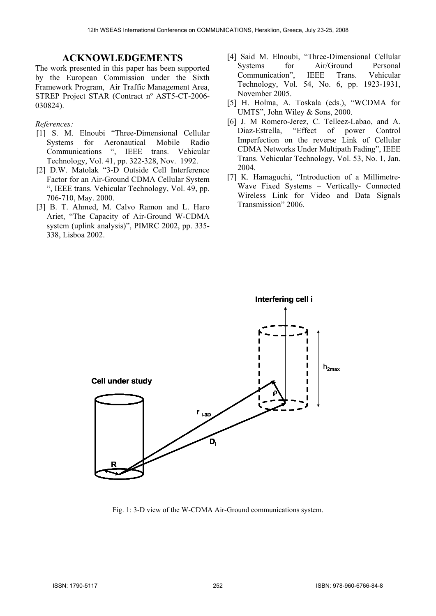The work presented in this paper has been supported by the European Commission under the Sixth Framework Program, Air Traffic Management Area, STREP Project STAR (Contract nº AST5-CT-2006-  $030824$ ).  $(630824)$ 

#### *References:*

- [1] S. M. Elnoubi "Three-Dimensional Cellular Systems for Aeronautical Mobile Radio Communications ", IEEE trans. Vehicular Technology, Vol. 41, pp. 322-328, Nov. 1992.
- [2] D.W. Matolak "3-D Outside Cell Interference Factor for an Air-Ground CDMA Cellular System ", IEEE trans. Vehicular Technology, Vol. 49, pp. 706-710, May. 2000.
- Transmission" 2006. [3] B. T. Ahmed, M. Calvo Ramon and L. Haro Ariet, "The Capacity of Air-Ground W-CDMA system (uplink analysis)", PIMRC 2002, pp. 335- 338, Lisboa 2002.
- **ACKNOWLEDGEMENTS** [4] Said M. Elnoubi, "Three-Dimensional Cellular<br>
<sup>2</sup> Systems for Air/Ground Personal Air/Ground Communication", IEEE Trans. Vehicular Technology, Vol. 54, No. 6, pp. 1923-1931, November 2005.
	- UMTS", John Wiley & Sons, 2000.
	- [6] J. M Romero-Jerez, C. Telleez-Labao, and A. Diaz-Estrella, "Effect of power Control Imperfection on the reverse Link of Cellular CDMA Networks Under Multipath Fading", IEEE Trans. Vehicular Technology, Vol. 53, No. 1, Jan. 2004.
	- [7] K. Hamaguchi, "Introduction of a Millimetre-Wave Fixed Systems – Vertically- Connected Wireless Link for Video and Data Signals



Fig. 1: 3-D view of the W-CDMA Air-Ground communications system.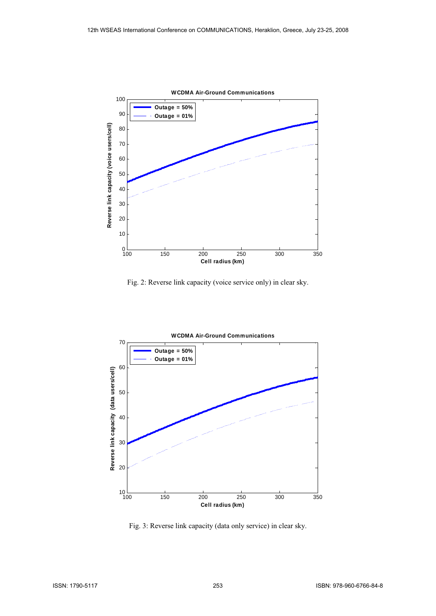

Fig. 2: Reverse link capacity (voice service only) in clear sky.



Fig. 3: Reverse link capacity (data only service) in clear sky.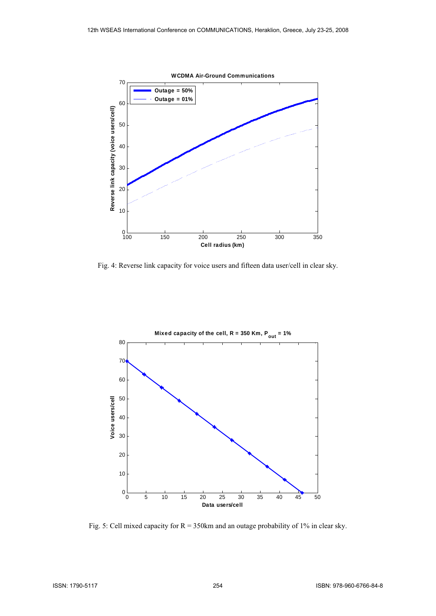

Fig. 4: Reverse link capacity for voice users and fifteen data user/cell in clear sky.



Fig. 5: Cell mixed capacity for  $R = 350$ km and an outage probability of 1% in clear sky.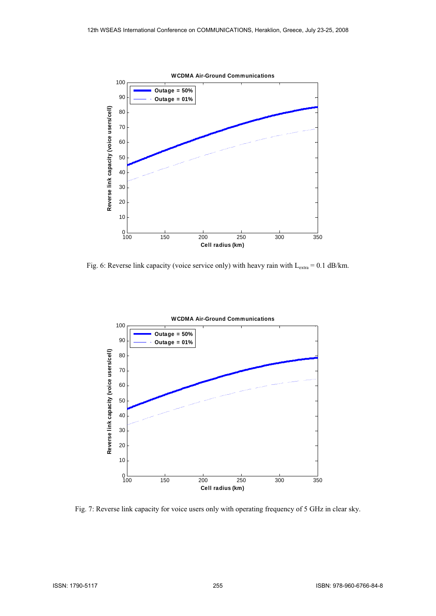

Fig. 6: Reverse link capacity (voice service only) with heavy rain with  $L_{\text{extra}} = 0.1$  dB/km.



Fig. 7: Reverse link capacity for voice users only with operating frequency of 5 GHz in clear sky.